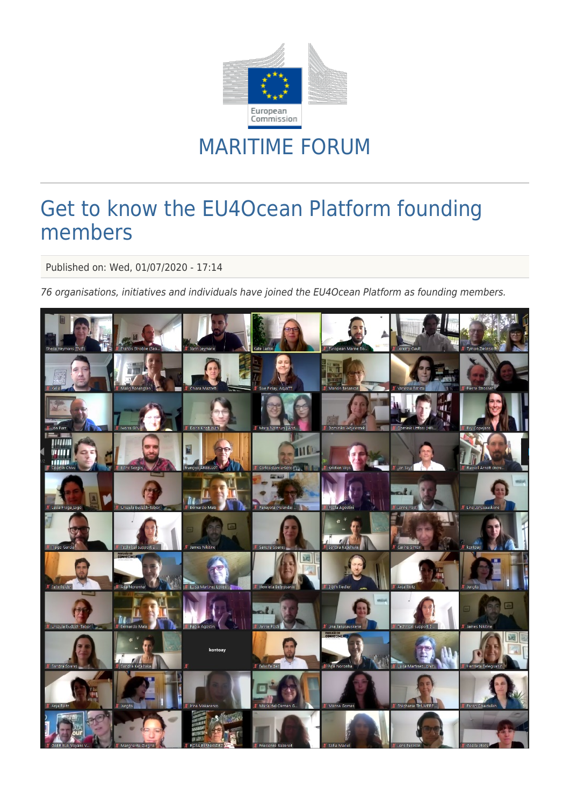

## MARITIME FORUM

## Get to know the EU4Ocean Platform founding members

Published on: Wed, 01/07/2020 - 17:14

76 organisations, initiatives and individuals have joined the EU4Ocean Platform as founding members.

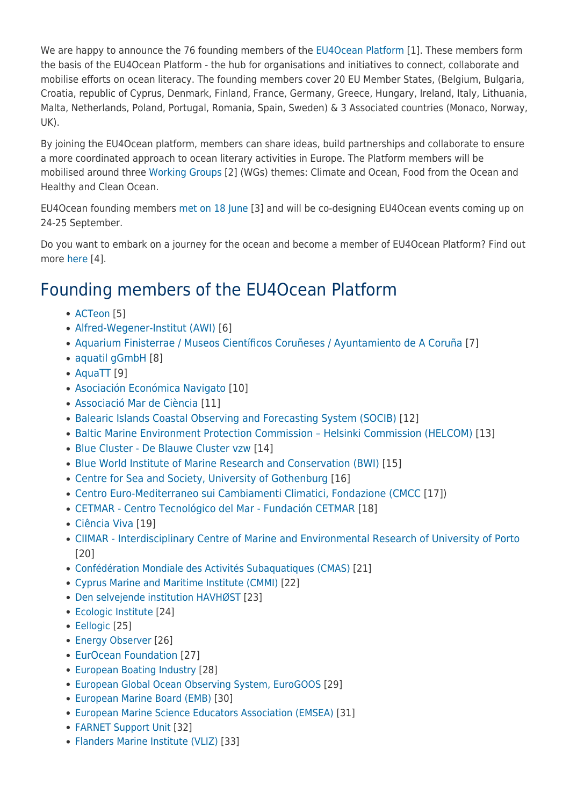We are happy to announce the 76 founding members of the [EU4Ocean Platform](https://webgate.ec.europa.eu/maritimeforum/en/frontpage/1483) [1]. These members form the basis of the EU4Ocean Platform - the hub for organisations and initiatives to connect, collaborate and mobilise efforts on ocean literacy. The founding members cover 20 EU Member States, (Belgium, Bulgaria, Croatia, republic of Cyprus, Denmark, Finland, France, Germany, Greece, Hungary, Ireland, Italy, Lithuania, Malta, Netherlands, Poland, Portugal, Romania, Spain, Sweden) & 3 Associated countries (Monaco, Norway, UK).

By joining the EU4Ocean platform, members can share ideas, build partnerships and collaborate to ensure a more coordinated approach to ocean literary activities in Europe. The Platform members will be mobilised around three [Working Groups](https://webgate.ec.europa.eu/maritimeforum/en/node/4516) [2] (WGs) themes: Climate and Ocean, Food from the Ocean and Healthy and Clean Ocean.

EU4Ocean founding members [met on 18 June](https://webgate.ec.europa.eu/maritimeforum/en/node/4728) [3] and will be co-designing EU4Ocean events coming up on 24-25 September.

Do you want to embark on a journey for the ocean and become a member of EU4Ocean Platform? Find out more [here](https://webgate.ec.europa.eu/maritimeforum/en/node/4509) [4].

## Founding members of the EU4Ocean Platform

- [ACTeon](https://www.acteon-environment.eu/en/) [5]
- [Alfred-Wegener-Institut \(AWI\)](https://www.awi.de/en.html) [6]
- [Aquarium Finisterrae / Museos Científicos Coruñeses / Ayuntamiento de A Coruña](http://www.casaciencias.org) [7]
- [aquatil gGmbH](http://aquatil.org/) [8]
- $\bullet$  [AquaTT](http://aquatt.ie/) [9]
- [Asociación Económica Navigato](https://www.navigatio.es/) [10]
- [Associació Mar de Ciència](https://mardeciencia-org.b.help-on.org/ca/associacio) [11]
- [Balearic Islands Coastal Observing and Forecasting System \(SOCIB\)](http://www.socib.eu/) [12]
- Baltic Marine Environment Protection Commission Helsinki Commission (HELCOM) [13]
- [Blue Cluster De Blauwe Cluster vzw](https://www.blauwecluster.be/about) [14]
- [Blue World Institute of Marine Research and Conservation \(BWI\)](http://www.blue-world.org) [15]
- [Centre for Sea and Society, University of Gothenburg](https://havochsamhalle.gu.se/english) [16]
- [Centro Euro-Mediterraneo sui Cambiamenti Climatici, Fondazione \(CMCC](http://www.cmcc.it) [17])
- [CETMAR Centro Tecnológico del Mar Fundación CETMAR](https://cetmar.org/) [18]
- [Ciência Viva](http://www.cienciaviva.pt) [19]
- [CIIMAR Interdisciplinary Centre of Marine and Environmental Research of University of Porto](https://www2.ciimar.up.pt/) [20]
- [Confédération Mondiale des Activités Subaquatiques \(CMAS\)](http://www.cmas.org) [21]
- [Cyprus Marine and Maritime Institute \(CMMI\)](http://www.cmmi-x.org/) [22]
- [Den selvejende institution HAVHØST](http://www.havhoest.dk) [23]
- [Ecologic Institute](http://www.ecologic.eu) [24]
- [Eellogic](http://www.eellogic.com) [25]
- [Energy Observer](http://ENERGY-OBSERVER.ORG) [26]
- [EurOcean Foundation](https://www.eurocean.org/np4/home) [27]
- [European Boating Industry](http://www.europeanboatingindustry.eu/) [28]
- [European Global Ocean Observing System, EuroGOOS](http://eurogoos.eu/ocean-literacy/) [29]
- [European Marine Board \(EMB\)](https://www.marineboard.eu/) [30]
- [European Marine Science Educators Association \(EMSEA\)](http://www.emsea.eu) [31]
- [FARNET Support Unit](http://www.farnet.eu) [32]
- [Flanders Marine Institute \(VLIZ\)](http://www.vliz.be) [33]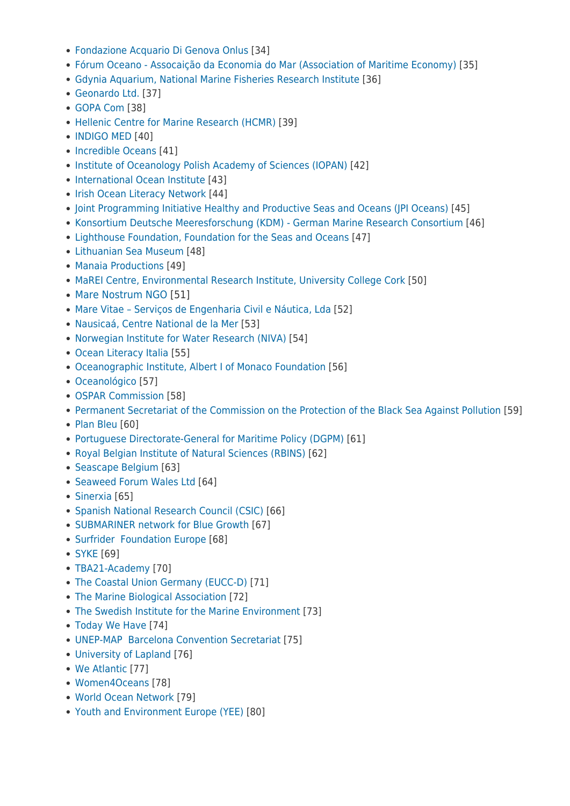- [Fondazione Acquario Di Genova Onlus](http://www.fondazioneacquariodigenova.it/) [34]
- [Fórum Oceano Assocaição da Economia do Mar \(Association of Maritime Economy\)](http://www.forumoceano.pt) [35]
- [Gdynia Aquarium, National Marine Fisheries Research Institute](https://akwarium.gdynia.pl/) [36]
- [Geonardo Ltd.](http://www.geonardo.com) [37]
- [GOPA Com](https://www.gopacom.eu/) [38]
- [Hellenic Centre for Marine Research \(HCMR\)](https://www.hcmr.gr/en/) [39]
- [INDIGO MED](http://www.indigo-med.com) [40]
- [Incredible Oceans](http://www.incredibleoceans.org) [41]
- [Institute of Oceanology Polish Academy of Sciences \(IOPAN\)](http://www.iopan.pl) [42]
- [International Ocean Institute](https://www.ioinst.org/about-1/) [43]
- [Irish Ocean Literacy Network](http://www.irishoceanliteracy.ie) [44]
- [Joint Programming Initiative Healthy and Productive Seas and Oceans \(JPI Oceans\)](http://www.jpi-oceans.eu) [45]
- [Konsortium Deutsche Meeresforschung \(KDM\) German Marine Research Consortium](http://www.deutsche-meeresforschung.de) [46]
- [Lighthouse Foundation, Foundation for the Seas and Oceans](http://www.lighthouse-foundation.org) [47]
- [Lithuanian Sea Museum](http://www.muziejus.lt) [48]
- [Manaia Productions](http://www.manaiaproductions.com) [49]
- [MaREI Centre, Environmental Research Institute, University College Cork](http://www.marei.ie) [50]
- [Mare Nostrum NGO](https://www.marenostrum.ro/en) [51]
- [Mare Vitae Serviços de Engenharia Civil e Náutica, Lda](https://www.marevitae.pt/) [52]
- [Nausicaá, Centre National de la Mer](http://www.nausicaa.fr) [53]
- [Norwegian Institute for Water Research \(NIVA\)](https://www.niva.no/en/research/oceanography) [54]
- [Ocean Literacy Italia](https://oceanliteracyitalia.it/) [55]
- [Oceanographic Institute, Albert I of Monaco Foundation](http://www.oceano.org) [56]
- [Oceanológico](http://www.oceanologico.com) [57]
- [OSPAR Commission](https://www.ospar.org/) [58]
- [Permanent Secretariat of the Commission on the Protection of the Black Sea Against Pollution](http://www.blacksea-commission.org/) [59]
- [Plan Bleu](http://www.planbleu.org) [60]
- [Portuguese Directorate-General for Maritime Policy \(DGPM\)](https://www.dgpm.mm.gov.pt/) [61]
- [Royal Belgian Institute of Natural Sciences \(RBINS\)](https://www.naturalsciences.be/) [62]
- [Seascape Belgium](http://www.seascapebelgium.be/) [63]
- [Seaweed Forum Wales Ltd](http://www.seaweedforumwales.org.uk) [64]
- [Sinerxia](https://sinerxia.es/) [65]
- [Spanish National Research Council \(CSIC\)](http://www.csic.es) [66]
- [SUBMARINER network for Blue Growth](http://www.submariner-network.eu) [67]
- [Surfrider Foundation Europe](http://www.surfrider.eu) [68]
- [SYKE](https://www.syke.fi/fi-FI) [69]
- [TBA21-Academy](http://www.tba21-academy.org) [70]
- [The Coastal Union Germany \(EUCC-D\)](http://www.eucc-d.de) [71]
- [The Marine Biological Association](http://www.mba.ac.uk) [72]
- [The Swedish Institute for the Marine Environment](http://www.havsmiljoinstitutet.se) [73]
- [Today We Have](http://www.todaywehave.com) [74]
- [UNEP-MAP Barcelona Convention Secretariat](https://www.unenvironment.org/unepmap/) [75]
- [University of Lapland](http://ulapland.fi) [76]
- [We Atlantic](https://facebook.com/pg/We-Atlantic-310387452887846/posts/?ref=page_internal) [77]
- [Women4Oceans](http://women4oceans.org) [78]
- [World Ocean Network](http://https://www.worldoceannetwork.org/) [79]
- [Youth and Environment Europe \(YEE\)](https://yeenet.eu) [80]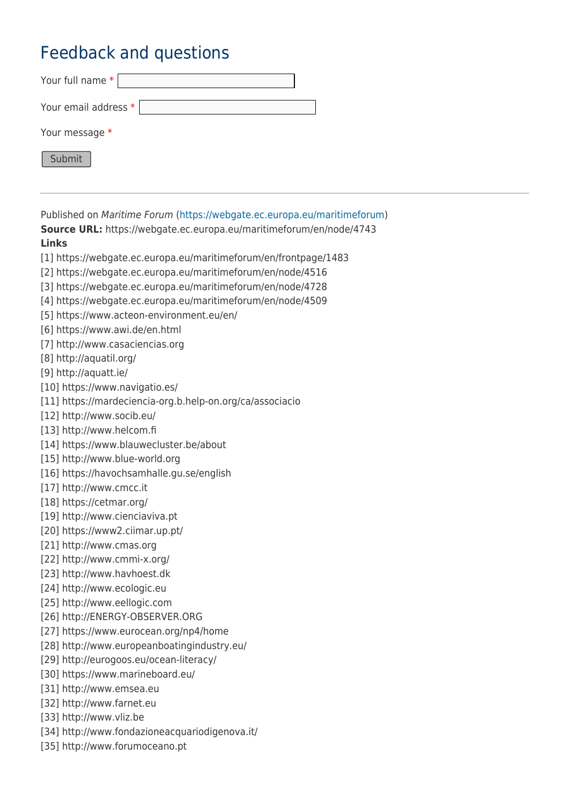## Feedback and questions

| Your full name *     |
|----------------------|
| Your email address * |
| Your message *       |
| Submit               |

Published on Maritime Forum ([https://webgate.ec.europa.eu/maritimeforum\)](https://webgate.ec.europa.eu/maritimeforum) **Source URL:** https://webgate.ec.europa.eu/maritimeforum/en/node/4743 **Links** [1] https://webgate.ec.europa.eu/maritimeforum/en/frontpage/1483 [2] https://webgate.ec.europa.eu/maritimeforum/en/node/4516 [3] https://webgate.ec.europa.eu/maritimeforum/en/node/4728 [4] https://webgate.ec.europa.eu/maritimeforum/en/node/4509 [5] https://www.acteon-environment.eu/en/ [6] https://www.awi.de/en.html [7] http://www.casaciencias.org [8] http://aquatil.org/ [9] http://aquatt.ie/ [10] https://www.navigatio.es/ [11] https://mardeciencia-org.b.help-on.org/ca/associacio [12] http://www.socib.eu/ [13] http://www.helcom.fi [14] https://www.blauwecluster.be/about [15] http://www.blue-world.org [16] https://havochsamhalle.gu.se/english [17] http://www.cmcc.it [18] https://cetmar.org/ [19] http://www.cienciaviva.pt [20] https://www2.ciimar.up.pt/ [21] http://www.cmas.org [22] http://www.cmmi-x.org/ [23] http://www.havhoest.dk [24] http://www.ecologic.eu [25] http://www.eellogic.com [26] http://ENERGY-OBSERVER.ORG [27] https://www.eurocean.org/np4/home [28] http://www.europeanboatingindustry.eu/ [29] http://eurogoos.eu/ocean-literacy/ [30] https://www.marineboard.eu/ [31] http://www.emsea.eu [32] http://www.farnet.eu [33] http://www.vliz.be [34] http://www.fondazioneacquariodigenova.it/

[35] http://www.forumoceano.pt